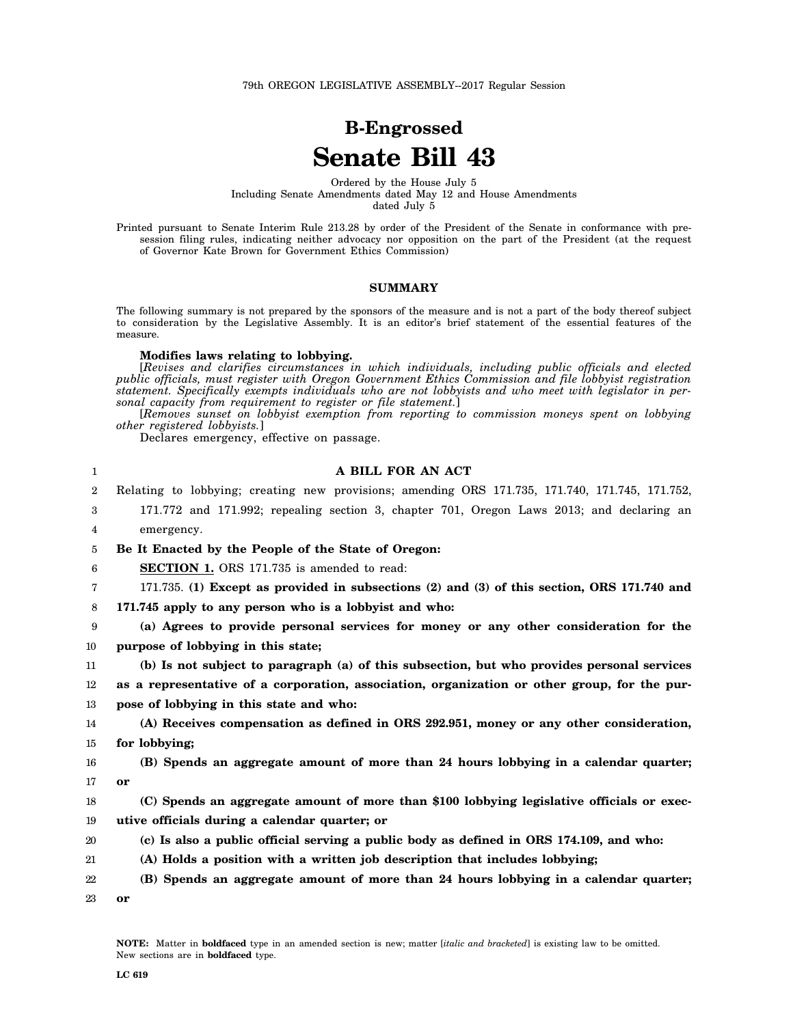# **B-Engrossed Senate Bill 43**

Ordered by the House July 5 Including Senate Amendments dated May 12 and House Amendments dated July 5

Printed pursuant to Senate Interim Rule 213.28 by order of the President of the Senate in conformance with presession filing rules, indicating neither advocacy nor opposition on the part of the President (at the request of Governor Kate Brown for Government Ethics Commission)

## **SUMMARY**

The following summary is not prepared by the sponsors of the measure and is not a part of the body thereof subject to consideration by the Legislative Assembly. It is an editor's brief statement of the essential features of the measure.

### **Modifies laws relating to lobbying.**

[*Revises and clarifies circumstances in which individuals, including public officials and elected public officials, must register with Oregon Government Ethics Commission and file lobbyist registration statement. Specifically exempts individuals who are not lobbyists and who meet with legislator in personal capacity from requirement to register or file statement.*]

[*Removes sunset on lobbyist exemption from reporting to commission moneys spent on lobbying other registered lobbyists.*]

Declares emergency, effective on passage.

| 1                | A BILL FOR AN ACT                                                                               |
|------------------|-------------------------------------------------------------------------------------------------|
| $\boldsymbol{2}$ | Relating to lobbying; creating new provisions; amending ORS 171.735, 171.740, 171.745, 171.752, |
| 3                | 171.772 and 171.992; repealing section 3, chapter 701, Oregon Laws 2013; and declaring an       |
| 4                | emergency.                                                                                      |
| 5                | Be It Enacted by the People of the State of Oregon:                                             |
| 6                | <b>SECTION 1.</b> ORS 171.735 is amended to read:                                               |
| 7                | 171.735. (1) Except as provided in subsections (2) and (3) of this section, ORS 171.740 and     |
| 8                | 171.745 apply to any person who is a lobbyist and who:                                          |
| 9                | (a) Agrees to provide personal services for money or any other consideration for the            |
| 10               | purpose of lobbying in this state;                                                              |
| 11               | (b) Is not subject to paragraph (a) of this subsection, but who provides personal services      |
| 12               | as a representative of a corporation, association, organization or other group, for the pur-    |
| 13               | pose of lobbying in this state and who:                                                         |
| 14               | (A) Receives compensation as defined in ORS 292.951, money or any other consideration,          |
| 15               | for lobbying;                                                                                   |
| 16               | (B) Spends an aggregate amount of more than 24 hours lobbying in a calendar quarter;            |
| 17               | or                                                                                              |
| 18               | (C) Spends an aggregate amount of more than \$100 lobbying legislative officials or exec-       |
| 19               | utive officials during a calendar quarter; or                                                   |
| 20               | (c) Is also a public official serving a public body as defined in ORS 174.109, and who:         |
| 21               | (A) Holds a position with a written job description that includes lobbying;                     |
| 22               | (B) Spends an aggregate amount of more than 24 hours lobbying in a calendar quarter;            |
|                  |                                                                                                 |

23 **or**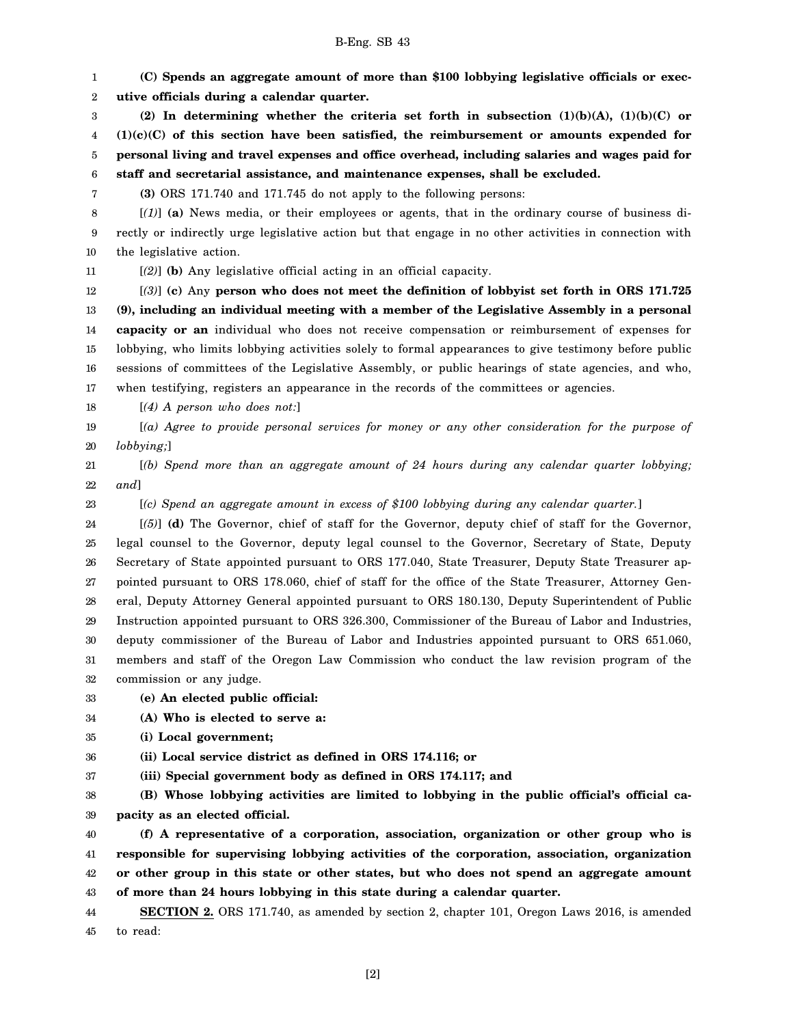# B-Eng. SB 43

1 2 3 4 5 6 7 8 9 10 11 12 13 14 15 16 17 18 19 20 21 22 23 24 25 26 27 28 29 30 31 32 33 **(C) Spends an aggregate amount of more than \$100 lobbying legislative officials or executive officials during a calendar quarter. (2) In determining whether the criteria set forth in subsection (1)(b)(A), (1)(b)(C) or (1)(c)(C) of this section have been satisfied, the reimbursement or amounts expended for personal living and travel expenses and office overhead, including salaries and wages paid for staff and secretarial assistance, and maintenance expenses, shall be excluded. (3)** ORS 171.740 and 171.745 do not apply to the following persons: [*(1)*] **(a)** News media, or their employees or agents, that in the ordinary course of business directly or indirectly urge legislative action but that engage in no other activities in connection with the legislative action. [*(2)*] **(b)** Any legislative official acting in an official capacity. [*(3)*] **(c)** Any **person who does not meet the definition of lobbyist set forth in ORS 171.725 (9), including an individual meeting with a member of the Legislative Assembly in a personal capacity or an** individual who does not receive compensation or reimbursement of expenses for lobbying, who limits lobbying activities solely to formal appearances to give testimony before public sessions of committees of the Legislative Assembly, or public hearings of state agencies, and who, when testifying, registers an appearance in the records of the committees or agencies. [*(4) A person who does not:*] [*(a) Agree to provide personal services for money or any other consideration for the purpose of lobbying;*] [*(b) Spend more than an aggregate amount of 24 hours during any calendar quarter lobbying; and*] [*(c) Spend an aggregate amount in excess of \$100 lobbying during any calendar quarter.*] [*(5)*] **(d)** The Governor, chief of staff for the Governor, deputy chief of staff for the Governor, legal counsel to the Governor, deputy legal counsel to the Governor, Secretary of State, Deputy Secretary of State appointed pursuant to ORS 177.040, State Treasurer, Deputy State Treasurer appointed pursuant to ORS 178.060, chief of staff for the office of the State Treasurer, Attorney General, Deputy Attorney General appointed pursuant to ORS 180.130, Deputy Superintendent of Public Instruction appointed pursuant to ORS 326.300, Commissioner of the Bureau of Labor and Industries, deputy commissioner of the Bureau of Labor and Industries appointed pursuant to ORS 651.060, members and staff of the Oregon Law Commission who conduct the law revision program of the commission or any judge. **(e) An elected public official:**

34 **(A) Who is elected to serve a:**

35 **(i) Local government;**

36 **(ii) Local service district as defined in ORS 174.116; or**

37 **(iii) Special government body as defined in ORS 174.117; and**

38 39 **(B) Whose lobbying activities are limited to lobbying in the public official's official capacity as an elected official.**

40 41 42 43 **(f) A representative of a corporation, association, organization or other group who is responsible for supervising lobbying activities of the corporation, association, organization or other group in this state or other states, but who does not spend an aggregate amount of more than 24 hours lobbying in this state during a calendar quarter.**

44 45 **SECTION 2.** ORS 171.740, as amended by section 2, chapter 101, Oregon Laws 2016, is amended to read:

[2]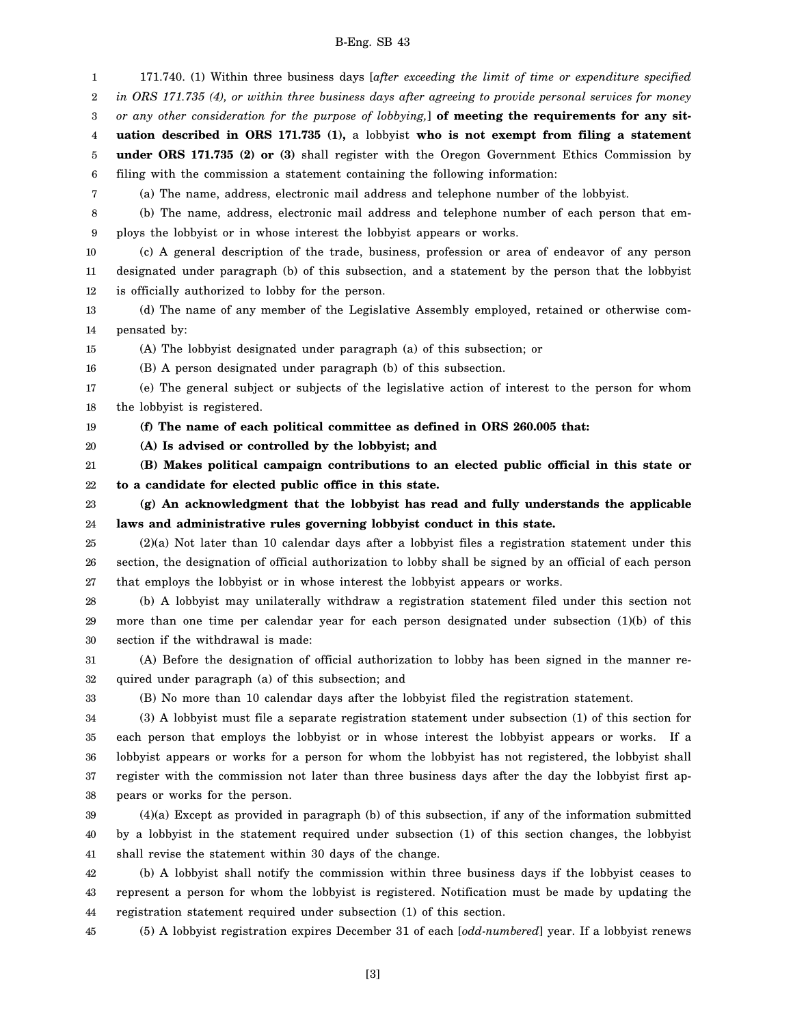## B-Eng. SB 43

1 2 3 4 5 6 7 8 9 10 11 12 13 14 15 16 17 18 19 20 21 22 23 24 25 26 27 28 29 30 31 32 33 34 35 36 37 38 39 40 41 42 43 44 45 171.740. (1) Within three business days [*after exceeding the limit of time or expenditure specified in ORS 171.735 (4), or within three business days after agreeing to provide personal services for money or any other consideration for the purpose of lobbying,*] **of meeting the requirements for any situation described in ORS 171.735 (1),** a lobbyist **who is not exempt from filing a statement under ORS 171.735 (2) or (3)** shall register with the Oregon Government Ethics Commission by filing with the commission a statement containing the following information: (a) The name, address, electronic mail address and telephone number of the lobbyist. (b) The name, address, electronic mail address and telephone number of each person that employs the lobbyist or in whose interest the lobbyist appears or works. (c) A general description of the trade, business, profession or area of endeavor of any person designated under paragraph (b) of this subsection, and a statement by the person that the lobbyist is officially authorized to lobby for the person. (d) The name of any member of the Legislative Assembly employed, retained or otherwise compensated by: (A) The lobbyist designated under paragraph (a) of this subsection; or (B) A person designated under paragraph (b) of this subsection. (e) The general subject or subjects of the legislative action of interest to the person for whom the lobbyist is registered. **(f) The name of each political committee as defined in ORS 260.005 that: (A) Is advised or controlled by the lobbyist; and (B) Makes political campaign contributions to an elected public official in this state or to a candidate for elected public office in this state. (g) An acknowledgment that the lobbyist has read and fully understands the applicable laws and administrative rules governing lobbyist conduct in this state.** (2)(a) Not later than 10 calendar days after a lobbyist files a registration statement under this section, the designation of official authorization to lobby shall be signed by an official of each person that employs the lobbyist or in whose interest the lobbyist appears or works. (b) A lobbyist may unilaterally withdraw a registration statement filed under this section not more than one time per calendar year for each person designated under subsection (1)(b) of this section if the withdrawal is made: (A) Before the designation of official authorization to lobby has been signed in the manner required under paragraph (a) of this subsection; and (B) No more than 10 calendar days after the lobbyist filed the registration statement. (3) A lobbyist must file a separate registration statement under subsection (1) of this section for each person that employs the lobbyist or in whose interest the lobbyist appears or works. If a lobbyist appears or works for a person for whom the lobbyist has not registered, the lobbyist shall register with the commission not later than three business days after the day the lobbyist first appears or works for the person. (4)(a) Except as provided in paragraph (b) of this subsection, if any of the information submitted by a lobbyist in the statement required under subsection (1) of this section changes, the lobbyist shall revise the statement within 30 days of the change. (b) A lobbyist shall notify the commission within three business days if the lobbyist ceases to represent a person for whom the lobbyist is registered. Notification must be made by updating the registration statement required under subsection (1) of this section. (5) A lobbyist registration expires December 31 of each [*odd-numbered*] year. If a lobbyist renews

[3]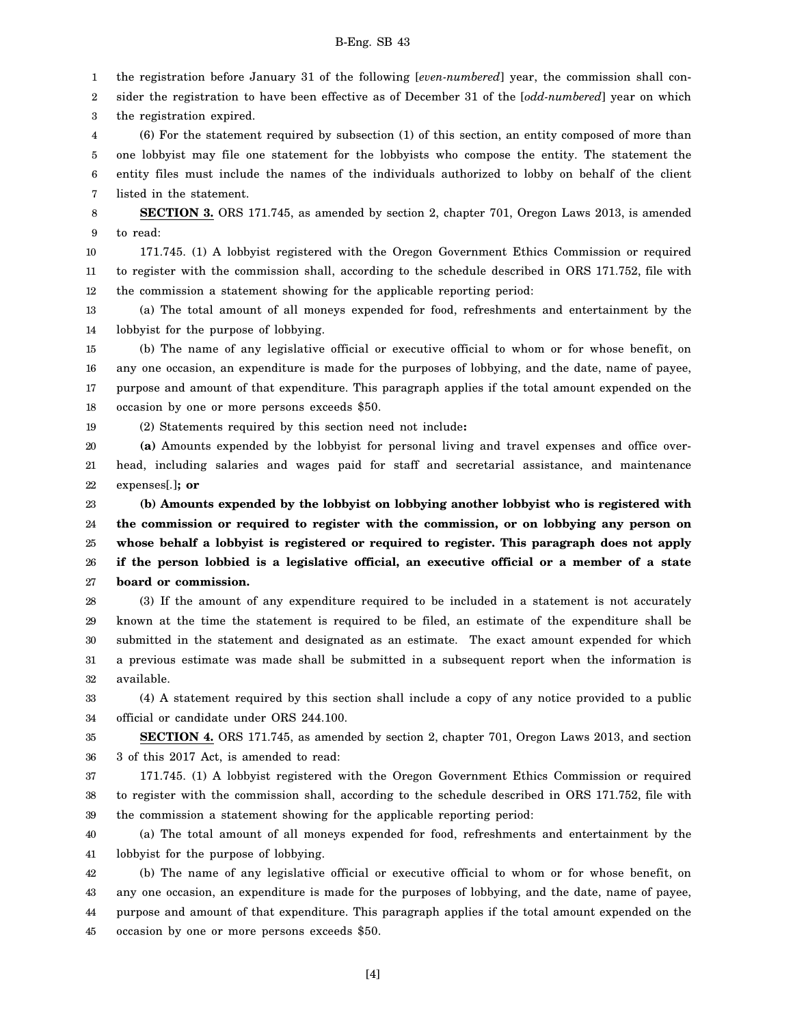## B-Eng. SB 43

1 the registration before January 31 of the following [*even-numbered*] year, the commission shall con-

2 3 sider the registration to have been effective as of December 31 of the [*odd-numbered*] year on which the registration expired.

4 5 6 7 (6) For the statement required by subsection (1) of this section, an entity composed of more than one lobbyist may file one statement for the lobbyists who compose the entity. The statement the entity files must include the names of the individuals authorized to lobby on behalf of the client listed in the statement.

8 9 **SECTION 3.** ORS 171.745, as amended by section 2, chapter 701, Oregon Laws 2013, is amended to read:

10 11 12 171.745. (1) A lobbyist registered with the Oregon Government Ethics Commission or required to register with the commission shall, according to the schedule described in ORS 171.752, file with the commission a statement showing for the applicable reporting period:

13 14 (a) The total amount of all moneys expended for food, refreshments and entertainment by the lobbyist for the purpose of lobbying.

15 16 17 18 (b) The name of any legislative official or executive official to whom or for whose benefit, on any one occasion, an expenditure is made for the purposes of lobbying, and the date, name of payee, purpose and amount of that expenditure. This paragraph applies if the total amount expended on the occasion by one or more persons exceeds \$50.

19 (2) Statements required by this section need not include**:**

20 21 22 **(a)** Amounts expended by the lobbyist for personal living and travel expenses and office overhead, including salaries and wages paid for staff and secretarial assistance, and maintenance expenses[*.*]**; or**

23 24 25 26 27 **(b) Amounts expended by the lobbyist on lobbying another lobbyist who is registered with the commission or required to register with the commission, or on lobbying any person on whose behalf a lobbyist is registered or required to register. This paragraph does not apply if the person lobbied is a legislative official, an executive official or a member of a state board or commission.**

28 29 30 31 32 (3) If the amount of any expenditure required to be included in a statement is not accurately known at the time the statement is required to be filed, an estimate of the expenditure shall be submitted in the statement and designated as an estimate. The exact amount expended for which a previous estimate was made shall be submitted in a subsequent report when the information is available.

33 34 (4) A statement required by this section shall include a copy of any notice provided to a public official or candidate under ORS 244.100.

35 36 **SECTION 4.** ORS 171.745, as amended by section 2, chapter 701, Oregon Laws 2013, and section 3 of this 2017 Act, is amended to read:

37 38 39 171.745. (1) A lobbyist registered with the Oregon Government Ethics Commission or required to register with the commission shall, according to the schedule described in ORS 171.752, file with the commission a statement showing for the applicable reporting period:

40 41 (a) The total amount of all moneys expended for food, refreshments and entertainment by the lobbyist for the purpose of lobbying.

42 43 44 45 (b) The name of any legislative official or executive official to whom or for whose benefit, on any one occasion, an expenditure is made for the purposes of lobbying, and the date, name of payee, purpose and amount of that expenditure. This paragraph applies if the total amount expended on the occasion by one or more persons exceeds \$50.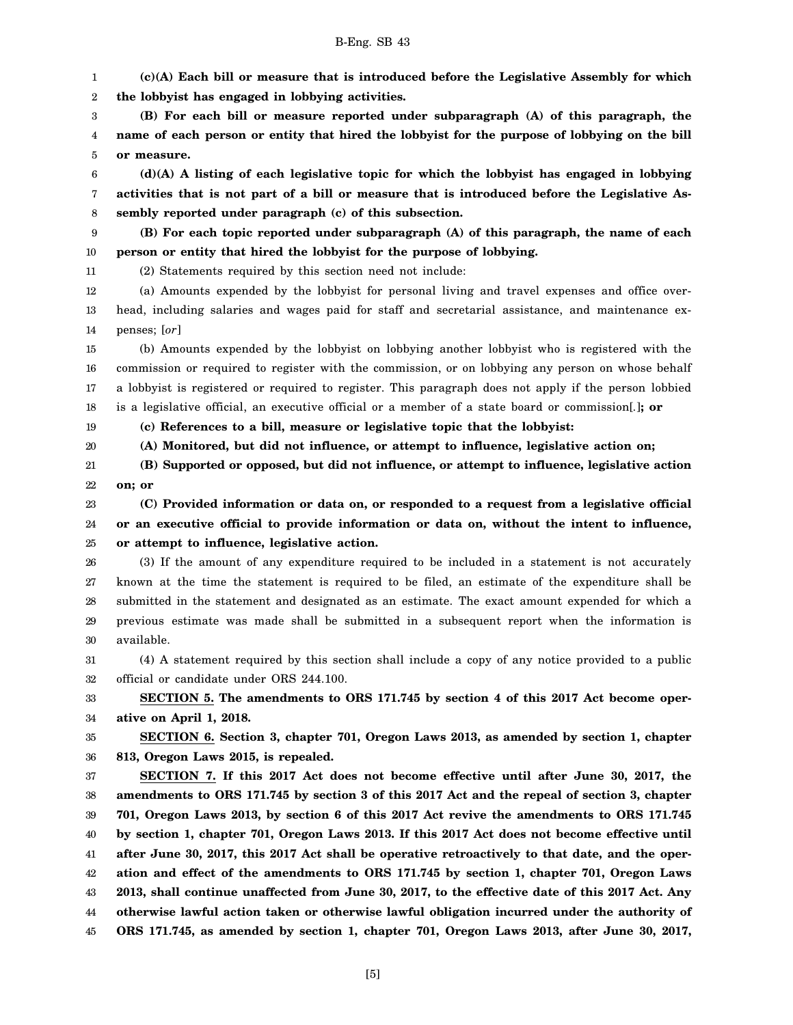(a) Amounts expended by the lobbyist for personal living and travel expenses and office over-

14 15 16 17 18 penses; [*or*] (b) Amounts expended by the lobbyist on lobbying another lobbyist who is registered with the commission or required to register with the commission, or on lobbying any person on whose behalf a lobbyist is registered or required to register. This paragraph does not apply if the person lobbied is a legislative official, an executive official or a member of a state board or commission[*.*]**; or**

**(c) References to a bill, measure or legislative topic that the lobbyist:**

**person or entity that hired the lobbyist for the purpose of lobbying.**

20 **(A) Monitored, but did not influence, or attempt to influence, legislative action on;**

21 22 **(B) Supported or opposed, but did not influence, or attempt to influence, legislative action on; or**

23 24 25 **(C) Provided information or data on, or responded to a request from a legislative official or an executive official to provide information or data on, without the intent to influence, or attempt to influence, legislative action.**

26 27 28 29 30 (3) If the amount of any expenditure required to be included in a statement is not accurately known at the time the statement is required to be filed, an estimate of the expenditure shall be submitted in the statement and designated as an estimate. The exact amount expended for which a previous estimate was made shall be submitted in a subsequent report when the information is available.

31 32 (4) A statement required by this section shall include a copy of any notice provided to a public official or candidate under ORS 244.100.

33 34 **SECTION 5. The amendments to ORS 171.745 by section 4 of this 2017 Act become operative on April 1, 2018.**

35 36 **SECTION 6. Section 3, chapter 701, Oregon Laws 2013, as amended by section 1, chapter 813, Oregon Laws 2015, is repealed.**

37 38 39 40 41 42 43 44 45 **SECTION 7. If this 2017 Act does not become effective until after June 30, 2017, the amendments to ORS 171.745 by section 3 of this 2017 Act and the repeal of section 3, chapter 701, Oregon Laws 2013, by section 6 of this 2017 Act revive the amendments to ORS 171.745 by section 1, chapter 701, Oregon Laws 2013. If this 2017 Act does not become effective until after June 30, 2017, this 2017 Act shall be operative retroactively to that date, and the operation and effect of the amendments to ORS 171.745 by section 1, chapter 701, Oregon Laws 2013, shall continue unaffected from June 30, 2017, to the effective date of this 2017 Act. Any otherwise lawful action taken or otherwise lawful obligation incurred under the authority of ORS 171.745, as amended by section 1, chapter 701, Oregon Laws 2013, after June 30, 2017,**

### B-Eng. SB 43

**the lobbyist has engaged in lobbying activities.**

**sembly reported under paragraph (c) of this subsection.**

(2) Statements required by this section need not include:

**(c)(A) Each bill or measure that is introduced before the Legislative Assembly for which**

**(B) For each bill or measure reported under subparagraph (A) of this paragraph, the name of each person or entity that hired the lobbyist for the purpose of lobbying on the bill**

**(d)(A) A listing of each legislative topic for which the lobbyist has engaged in lobbying activities that is not part of a bill or measure that is introduced before the Legislative As-**

**(B) For each topic reported under subparagraph (A) of this paragraph, the name of each**

head, including salaries and wages paid for staff and secretarial assistance, and maintenance ex-

9 10 11

**or measure.**

12 13

19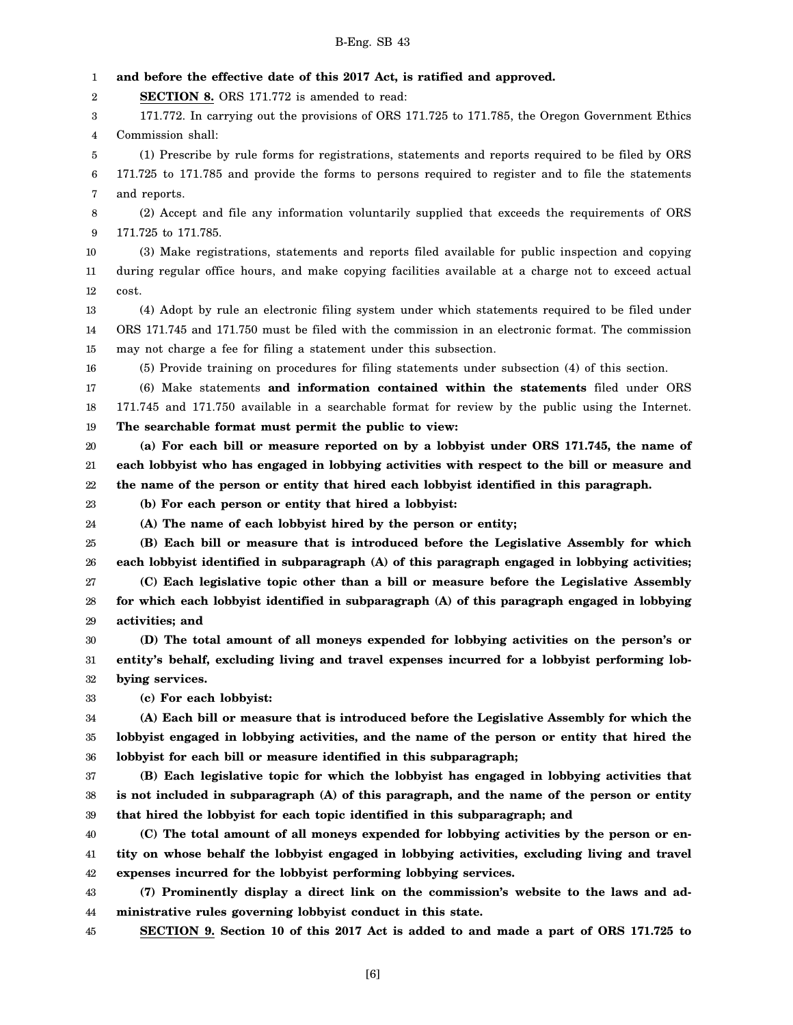1 2 3 4 5 6 7 8 9 10 11 12 13 14 15 16 17 18 19 20 21 22 23 24 25 26 27 28 29 30 31 32 33 34 35 36 37 38 39 40 41 42 43 44 **and before the effective date of this 2017 Act, is ratified and approved. SECTION 8.** ORS 171.772 is amended to read: 171.772. In carrying out the provisions of ORS 171.725 to 171.785, the Oregon Government Ethics Commission shall: (1) Prescribe by rule forms for registrations, statements and reports required to be filed by ORS 171.725 to 171.785 and provide the forms to persons required to register and to file the statements and reports. (2) Accept and file any information voluntarily supplied that exceeds the requirements of ORS 171.725 to 171.785. (3) Make registrations, statements and reports filed available for public inspection and copying during regular office hours, and make copying facilities available at a charge not to exceed actual cost. (4) Adopt by rule an electronic filing system under which statements required to be filed under ORS 171.745 and 171.750 must be filed with the commission in an electronic format. The commission may not charge a fee for filing a statement under this subsection. (5) Provide training on procedures for filing statements under subsection (4) of this section. (6) Make statements **and information contained within the statements** filed under ORS 171.745 and 171.750 available in a searchable format for review by the public using the Internet. **The searchable format must permit the public to view: (a) For each bill or measure reported on by a lobbyist under ORS 171.745, the name of each lobbyist who has engaged in lobbying activities with respect to the bill or measure and the name of the person or entity that hired each lobbyist identified in this paragraph. (b) For each person or entity that hired a lobbyist: (A) The name of each lobbyist hired by the person or entity; (B) Each bill or measure that is introduced before the Legislative Assembly for which each lobbyist identified in subparagraph (A) of this paragraph engaged in lobbying activities; (C) Each legislative topic other than a bill or measure before the Legislative Assembly for which each lobbyist identified in subparagraph (A) of this paragraph engaged in lobbying activities; and (D) The total amount of all moneys expended for lobbying activities on the person's or entity's behalf, excluding living and travel expenses incurred for a lobbyist performing lobbying services. (c) For each lobbyist: (A) Each bill or measure that is introduced before the Legislative Assembly for which the lobbyist engaged in lobbying activities, and the name of the person or entity that hired the lobbyist for each bill or measure identified in this subparagraph; (B) Each legislative topic for which the lobbyist has engaged in lobbying activities that is not included in subparagraph (A) of this paragraph, and the name of the person or entity that hired the lobbyist for each topic identified in this subparagraph; and (C) The total amount of all moneys expended for lobbying activities by the person or entity on whose behalf the lobbyist engaged in lobbying activities, excluding living and travel expenses incurred for the lobbyist performing lobbying services. (7) Prominently display a direct link on the commission's website to the laws and administrative rules governing lobbyist conduct in this state.**

45 **SECTION 9. Section 10 of this 2017 Act is added to and made a part of ORS 171.725 to**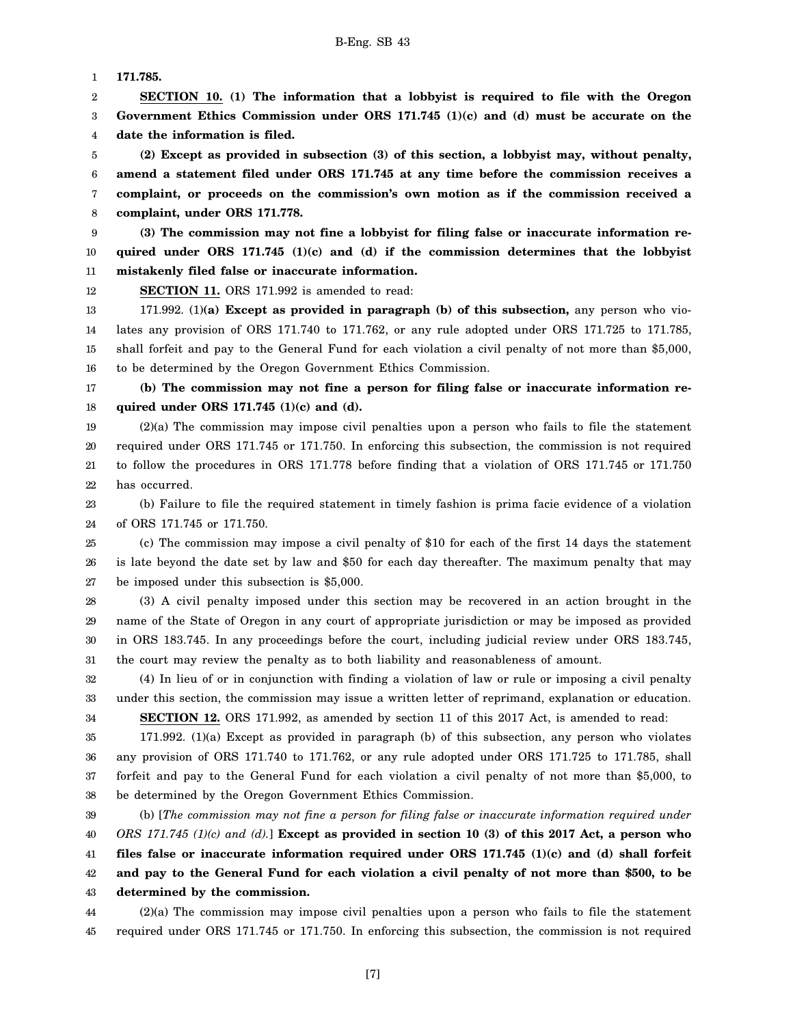1 **171.785.**

2 3 4 **SECTION 10. (1) The information that a lobbyist is required to file with the Oregon Government Ethics Commission under ORS 171.745 (1)(c) and (d) must be accurate on the date the information is filed.**

5 6 7 8 **(2) Except as provided in subsection (3) of this section, a lobbyist may, without penalty, amend a statement filed under ORS 171.745 at any time before the commission receives a complaint, or proceeds on the commission's own motion as if the commission received a complaint, under ORS 171.778.**

9 10 11 **(3) The commission may not fine a lobbyist for filing false or inaccurate information required under ORS 171.745 (1)(c) and (d) if the commission determines that the lobbyist mistakenly filed false or inaccurate information.**

12 **SECTION 11.** ORS 171.992 is amended to read:

13 14 15 16 171.992. (1)**(a) Except as provided in paragraph (b) of this subsection,** any person who violates any provision of ORS 171.740 to 171.762, or any rule adopted under ORS 171.725 to 171.785, shall forfeit and pay to the General Fund for each violation a civil penalty of not more than \$5,000, to be determined by the Oregon Government Ethics Commission.

17 18 **(b) The commission may not fine a person for filing false or inaccurate information required under ORS 171.745 (1)(c) and (d).**

19 20 21 22 (2)(a) The commission may impose civil penalties upon a person who fails to file the statement required under ORS 171.745 or 171.750. In enforcing this subsection, the commission is not required to follow the procedures in ORS 171.778 before finding that a violation of ORS 171.745 or 171.750 has occurred.

23 24 (b) Failure to file the required statement in timely fashion is prima facie evidence of a violation of ORS 171.745 or 171.750.

25 26 27 (c) The commission may impose a civil penalty of \$10 for each of the first 14 days the statement is late beyond the date set by law and \$50 for each day thereafter. The maximum penalty that may be imposed under this subsection is \$5,000.

28 29 30 31 (3) A civil penalty imposed under this section may be recovered in an action brought in the name of the State of Oregon in any court of appropriate jurisdiction or may be imposed as provided in ORS 183.745. In any proceedings before the court, including judicial review under ORS 183.745, the court may review the penalty as to both liability and reasonableness of amount.

32 33 34 (4) In lieu of or in conjunction with finding a violation of law or rule or imposing a civil penalty under this section, the commission may issue a written letter of reprimand, explanation or education.

35 36

**SECTION 12.** ORS 171.992, as amended by section 11 of this 2017 Act, is amended to read: 171.992. (1)(a) Except as provided in paragraph (b) of this subsection, any person who violates any provision of ORS 171.740 to 171.762, or any rule adopted under ORS 171.725 to 171.785, shall

37 38 forfeit and pay to the General Fund for each violation a civil penalty of not more than \$5,000, to be determined by the Oregon Government Ethics Commission.

39 40 41 42 43 (b) [*The commission may not fine a person for filing false or inaccurate information required under ORS 171.745 (1)(c) and (d).*] **Except as provided in section 10 (3) of this 2017 Act, a person who files false or inaccurate information required under ORS 171.745 (1)(c) and (d) shall forfeit and pay to the General Fund for each violation a civil penalty of not more than \$500, to be determined by the commission.**

44 45 (2)(a) The commission may impose civil penalties upon a person who fails to file the statement required under ORS 171.745 or 171.750. In enforcing this subsection, the commission is not required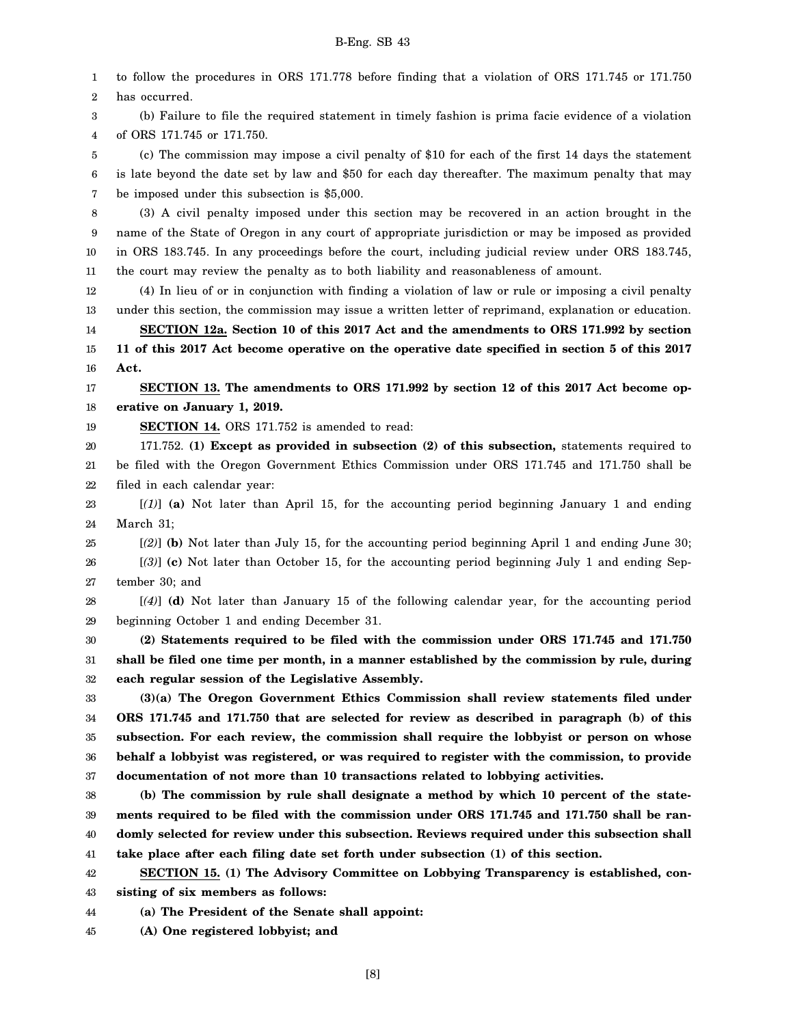1 2 3 4 5 6 7 8 9 10 11 12 13 14 15 16 17 18 19 20 21 22 23 24 25 26 27 28 29 30 31 32 33 34 35 36 37 38 39 40 41 42 43 to follow the procedures in ORS 171.778 before finding that a violation of ORS 171.745 or 171.750 has occurred. (b) Failure to file the required statement in timely fashion is prima facie evidence of a violation of ORS 171.745 or 171.750. (c) The commission may impose a civil penalty of \$10 for each of the first 14 days the statement is late beyond the date set by law and \$50 for each day thereafter. The maximum penalty that may be imposed under this subsection is \$5,000. (3) A civil penalty imposed under this section may be recovered in an action brought in the name of the State of Oregon in any court of appropriate jurisdiction or may be imposed as provided in ORS 183.745. In any proceedings before the court, including judicial review under ORS 183.745, the court may review the penalty as to both liability and reasonableness of amount. (4) In lieu of or in conjunction with finding a violation of law or rule or imposing a civil penalty under this section, the commission may issue a written letter of reprimand, explanation or education. **SECTION 12a. Section 10 of this 2017 Act and the amendments to ORS 171.992 by section 11 of this 2017 Act become operative on the operative date specified in section 5 of this 2017 Act. SECTION 13. The amendments to ORS 171.992 by section 12 of this 2017 Act become operative on January 1, 2019. SECTION 14.** ORS 171.752 is amended to read: 171.752. **(1) Except as provided in subsection (2) of this subsection,** statements required to be filed with the Oregon Government Ethics Commission under ORS 171.745 and 171.750 shall be filed in each calendar year: [*(1)*] **(a)** Not later than April 15, for the accounting period beginning January 1 and ending March 31; [*(2)*] **(b)** Not later than July 15, for the accounting period beginning April 1 and ending June 30; [*(3)*] **(c)** Not later than October 15, for the accounting period beginning July 1 and ending September 30; and [*(4)*] **(d)** Not later than January 15 of the following calendar year, for the accounting period beginning October 1 and ending December 31. **(2) Statements required to be filed with the commission under ORS 171.745 and 171.750 shall be filed one time per month, in a manner established by the commission by rule, during each regular session of the Legislative Assembly. (3)(a) The Oregon Government Ethics Commission shall review statements filed under ORS 171.745 and 171.750 that are selected for review as described in paragraph (b) of this subsection. For each review, the commission shall require the lobbyist or person on whose behalf a lobbyist was registered, or was required to register with the commission, to provide documentation of not more than 10 transactions related to lobbying activities. (b) The commission by rule shall designate a method by which 10 percent of the statements required to be filed with the commission under ORS 171.745 and 171.750 shall be randomly selected for review under this subsection. Reviews required under this subsection shall take place after each filing date set forth under subsection (1) of this section. SECTION 15. (1) The Advisory Committee on Lobbying Transparency is established, consisting of six members as follows:**

44 **(a) The President of the Senate shall appoint:**

45 **(A) One registered lobbyist; and**